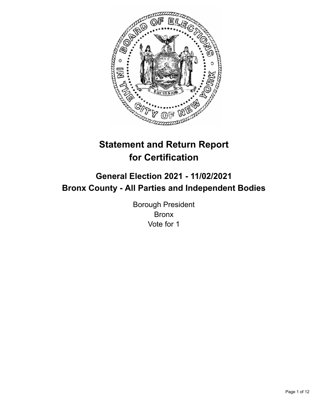

# **Statement and Return Report for Certification**

## **General Election 2021 - 11/02/2021 Bronx County - All Parties and Independent Bodies**

Borough President Bronx Vote for 1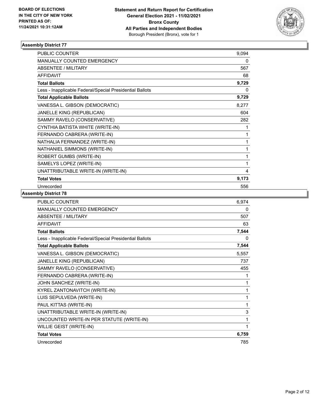

| <b>PUBLIC COUNTER</b>                                    | 9.094 |
|----------------------------------------------------------|-------|
| MANUALLY COUNTED EMERGENCY                               | 0     |
| <b>ABSENTEE / MILITARY</b>                               | 567   |
| <b>AFFIDAVIT</b>                                         | 68    |
| <b>Total Ballots</b>                                     | 9,729 |
| Less - Inapplicable Federal/Special Presidential Ballots | 0     |
| <b>Total Applicable Ballots</b>                          | 9,729 |
| VANESSA L. GIBSON (DEMOCRATIC)                           | 8,277 |
| JANELLE KING (REPUBLICAN)                                | 604   |
| SAMMY RAVELO (CONSERVATIVE)                              | 282   |
| CYNTHIA BATISTA WHITE (WRITE-IN)                         | 1     |
| FERNANDO CABRERA (WRITE-IN)                              | 1     |
| NATHALIA FERNANDEZ (WRITE-IN)                            | 1     |
| NATHANIEL SIMMONS (WRITE-IN)                             | 1     |
| ROBERT GUMBS (WRITE-IN)                                  | 1     |
| SAMELYS LOPEZ (WRITE-IN)                                 | 1     |
| UNATTRIBUTABLE WRITE-IN (WRITE-IN)                       | 4     |
| <b>Total Votes</b>                                       | 9,173 |
| Unrecorded                                               | 556   |

| PUBLIC COUNTER                                           | 6,974 |
|----------------------------------------------------------|-------|
| MANUALLY COUNTED EMERGENCY                               | 0     |
| <b>ABSENTEE / MILITARY</b>                               | 507   |
| <b>AFFIDAVIT</b>                                         | 63    |
| <b>Total Ballots</b>                                     | 7,544 |
| Less - Inapplicable Federal/Special Presidential Ballots | 0     |
| <b>Total Applicable Ballots</b>                          | 7,544 |
| VANESSA L. GIBSON (DEMOCRATIC)                           | 5,557 |
| JANELLE KING (REPUBLICAN)                                | 737   |
| SAMMY RAVELO (CONSERVATIVE)                              | 455   |
| FERNANDO CABRERA (WRITE-IN)                              | 1     |
| JOHN SANCHEZ (WRITE-IN)                                  | 1     |
| KYREL ZANTONAVITCH (WRITE-IN)                            | 1     |
| LUIS SEPULVEDA (WRITE-IN)                                | 1     |
| PAUL KITTAS (WRITE-IN)                                   | 1     |
| UNATTRIBUTABLE WRITE-IN (WRITE-IN)                       | 3     |
| UNCOUNTED WRITE-IN PER STATUTE (WRITE-IN)                | 1     |
| WILLIE GEIST (WRITE-IN)                                  | 1     |
| <b>Total Votes</b>                                       | 6,759 |
| Unrecorded                                               | 785   |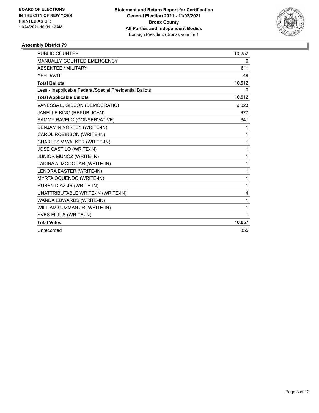

| <b>PUBLIC COUNTER</b>                                    | 10,252 |
|----------------------------------------------------------|--------|
| <b>MANUALLY COUNTED EMERGENCY</b>                        | 0      |
| <b>ABSENTEE / MILITARY</b>                               | 611    |
| <b>AFFIDAVIT</b>                                         | 49     |
| <b>Total Ballots</b>                                     | 10,912 |
| Less - Inapplicable Federal/Special Presidential Ballots | 0      |
| <b>Total Applicable Ballots</b>                          | 10,912 |
| VANESSA L. GIBSON (DEMOCRATIC)                           | 9,023  |
| JANELLE KING (REPUBLICAN)                                | 677    |
| SAMMY RAVELO (CONSERVATIVE)                              | 341    |
| <b>BENJAMIN NORTEY (WRITE-IN)</b>                        | 1      |
| CAROL ROBINSON (WRITE-IN)                                | 1      |
| CHARLES V WALKER (WRITE-IN)                              | 1      |
| JOSE CASTILO (WRITE-IN)                                  | 1      |
| JUNIOR MUNOZ (WRITE-IN)                                  | 1      |
| LADINA ALMODOUAR (WRITE-IN)                              | 1      |
| LENORA EASTER (WRITE-IN)                                 | 1      |
| MYRTA OQUENDO (WRITE-IN)                                 | 1      |
| RUBEN DIAZ JR (WRITE-IN)                                 | 1      |
| UNATTRIBUTABLE WRITE-IN (WRITE-IN)                       | 4      |
| WANDA EDWARDS (WRITE-IN)                                 | 1      |
| WILLIAM GUZMAN JR (WRITE-IN)                             | 1      |
| YVES FILIUS (WRITE-IN)                                   | 1      |
| <b>Total Votes</b>                                       | 10,057 |
| Unrecorded                                               | 855    |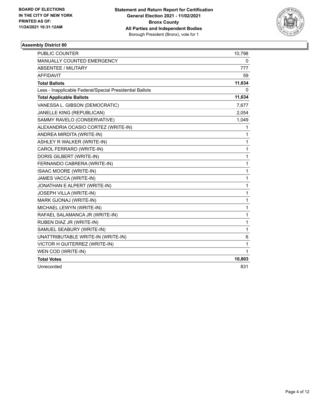

| <b>PUBLIC COUNTER</b>                                    | 10,798       |
|----------------------------------------------------------|--------------|
| MANUALLY COUNTED EMERGENCY                               | 0            |
| <b>ABSENTEE / MILITARY</b>                               | 777          |
| <b>AFFIDAVIT</b>                                         | 59           |
| <b>Total Ballots</b>                                     | 11,634       |
| Less - Inapplicable Federal/Special Presidential Ballots | 0            |
| <b>Total Applicable Ballots</b>                          | 11,634       |
| VANESSA L. GIBSON (DEMOCRATIC)                           | 7,677        |
| JANELLE KING (REPUBLICAN)                                | 2,054        |
| SAMMY RAVELO (CONSERVATIVE)                              | 1,049        |
| ALEXANDRIA OCASIO CORTEZ (WRITE-IN)                      | 1            |
| ANDREA MIRDITA (WRITE-IN)                                | 1            |
| ASHLEY R WALKER (WRITE-IN)                               | 1            |
| CAROL FERRARO (WRITE-IN)                                 | $\mathbf{1}$ |
| DORIS GILBERT (WRITE-IN)                                 | $\mathbf 1$  |
| FERNANDO CABRERA (WRITE-IN)                              | $\mathbf 1$  |
| <b>ISAAC MOORE (WRITE-IN)</b>                            | 1            |
| JAMES VACCA (WRITE-IN)                                   | $\mathbf 1$  |
| JONATHAN E ALPERT (WRITE-IN)                             | 1            |
| <b>JOSEPH VILLA (WRITE-IN)</b>                           | 1            |
| MARK GJONAJ (WRITE-IN)                                   | 1            |
| MICHAEL LEWYN (WRITE-IN)                                 | 1            |
| RAFAEL SALAMANCA JR (WRITE-IN)                           | 1            |
| RUBEN DIAZ JR (WRITE-IN)                                 | 1            |
| SAMUEL SEABURY (WRITE-IN)                                | 1            |
| UNATTRIBUTABLE WRITE-IN (WRITE-IN)                       | 6            |
| VICTOR H GUITERREZ (WRITE-IN)                            | 1            |
| WEN COD (WRITE-IN)                                       | 1            |
| <b>Total Votes</b>                                       | 10,803       |
| Unrecorded                                               | 831          |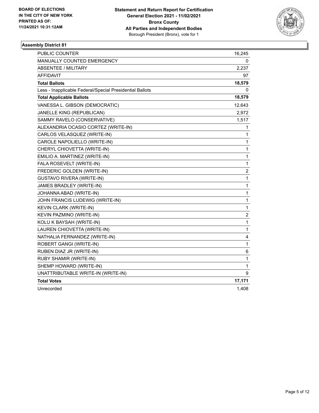

| PUBLIC COUNTER                                           | 16,245                  |
|----------------------------------------------------------|-------------------------|
| MANUALLY COUNTED EMERGENCY                               | 0                       |
| <b>ABSENTEE / MILITARY</b>                               | 2,237                   |
| AFFIDAVIT                                                | 97                      |
| <b>Total Ballots</b>                                     | 18,579                  |
| Less - Inapplicable Federal/Special Presidential Ballots | 0                       |
| <b>Total Applicable Ballots</b>                          | 18,579                  |
| VANESSA L. GIBSON (DEMOCRATIC)                           | 12,643                  |
| JANELLE KING (REPUBLICAN)                                | 2,972                   |
| SAMMY RAVELO (CONSERVATIVE)                              | 1,517                   |
| ALEXANDRIA OCASIO CORTEZ (WRITE-IN)                      | 1                       |
| CARLOS VELASQUEZ (WRITE-IN)                              | 1                       |
| CAROLE NAPOLIELLO (WRITE-IN)                             | 1                       |
| CHERYL CHIOVETTA (WRITE-IN)                              | 1                       |
| EMILIO A. MARTINEZ (WRITE-IN)                            | 1                       |
| FALA ROSEVELT (WRITE-IN)                                 | 1                       |
| FREDERIC GOLDEN (WRITE-IN)                               | $\overline{\mathbf{c}}$ |
| <b>GUSTAVO RIVERA (WRITE-IN)</b>                         | 1                       |
| JAMES BRADLEY (WRITE-IN)                                 | 1                       |
| JOHANNA ABAD (WRITE-IN)                                  | 1                       |
| JOHN FRANCIS LUDEWIG (WRITE-IN)                          | 1                       |
| KEVIN CLARK (WRITE-IN)                                   | 1                       |
| KEVIN PAZMINO (WRITE-IN)                                 | $\overline{c}$          |
| KOLU K BAYSAH (WRITE-IN)                                 | $\mathbf{1}$            |
| LAUREN CHIOVETTA (WRITE-IN)                              | 1                       |
| NATHALIA FERNANDEZ (WRITE-IN)                            | 4                       |
| ROBERT GANGI (WRITE-IN)                                  | 1                       |
| RUBEN DIAZ JR (WRITE-IN)                                 | 6                       |
| RUBY SHAMIR (WRITE-IN)                                   | 1                       |
| SHEMP HOWARD (WRITE-IN)                                  | 1                       |
| UNATTRIBUTABLE WRITE-IN (WRITE-IN)                       | 9                       |
| <b>Total Votes</b>                                       | 17,171                  |
| Unrecorded                                               | 1,408                   |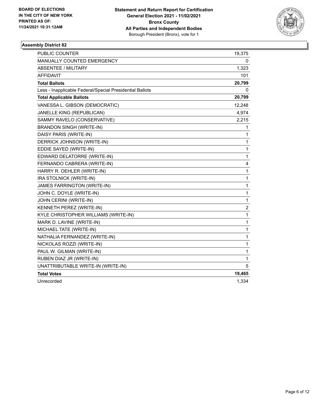

| PUBLIC COUNTER                                           | 19,375                  |
|----------------------------------------------------------|-------------------------|
| MANUALLY COUNTED EMERGENCY                               | 0                       |
| <b>ABSENTEE / MILITARY</b>                               | 1,323                   |
| <b>AFFIDAVIT</b>                                         | 101                     |
| <b>Total Ballots</b>                                     | 20,799                  |
| Less - Inapplicable Federal/Special Presidential Ballots | 0                       |
| <b>Total Applicable Ballots</b>                          | 20,799                  |
| VANESSA L. GIBSON (DEMOCRATIC)                           | 12,248                  |
| JANELLE KING (REPUBLICAN)                                | 4,974                   |
| SAMMY RAVELO (CONSERVATIVE)                              | 2,215                   |
| <b>BRANDON SINGH (WRITE-IN)</b>                          | 1                       |
| DAISY PARIS (WRITE-IN)                                   | 1                       |
| DERRICK JOHNSON (WRITE-IN)                               | 1                       |
| EDDIE SAYED (WRITE-IN)                                   | $\mathbf{1}$            |
| EDWARD DELATORRE (WRITE-IN)                              | $\mathbf{1}$            |
| FERNANDO CABRERA (WRITE-IN)                              | 4                       |
| HARRY R. OEHLER (WRITE-IN)                               | 1                       |
| IRA STOLNICK (WRITE-IN)                                  | 1                       |
| JAMES FARRINGTON (WRITE-IN)                              | 1                       |
| JOHN C. DOYLE (WRITE-IN)                                 | 1                       |
| JOHN CERINI (WRITE-IN)                                   | $\mathbf{1}$            |
| KENNETH PEREZ (WRITE-IN)                                 | $\overline{\mathbf{c}}$ |
| KYLE CHRISTOPHER WILLIAMS (WRITE-IN)                     | $\mathbf{1}$            |
| MARK D. LAVINE (WRITE-IN)                                | 1                       |
| MICHAEL TATE (WRITE-IN)                                  | 1                       |
| NATHALIA FERNANDEZ (WRITE-IN)                            | 1                       |
| NICKOLAS ROZZI (WRITE-IN)                                | 1                       |
| PAUL W. GILMAN (WRITE-IN)                                | $\mathbf{1}$            |
| RUBEN DIAZ JR (WRITE-IN)                                 | 1                       |
| UNATTRIBUTABLE WRITE-IN (WRITE-IN)                       | 5                       |
| <b>Total Votes</b>                                       | 19,465                  |
| Unrecorded                                               | 1,334                   |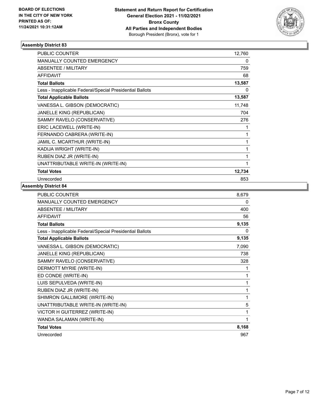

| PUBLIC COUNTER                                           | 12,760 |
|----------------------------------------------------------|--------|
| <b>MANUALLY COUNTED EMERGENCY</b>                        | 0      |
| <b>ABSENTEE / MILITARY</b>                               | 759    |
| <b>AFFIDAVIT</b>                                         | 68     |
| <b>Total Ballots</b>                                     | 13,587 |
| Less - Inapplicable Federal/Special Presidential Ballots | 0      |
| <b>Total Applicable Ballots</b>                          | 13,587 |
| VANESSA L. GIBSON (DEMOCRATIC)                           | 11,748 |
| <b>JANELLE KING (REPUBLICAN)</b>                         | 704    |
| SAMMY RAVELO (CONSERVATIVE)                              | 276    |
| ERIC LACEWELL (WRITE-IN)                                 | 1      |
| FERNANDO CABRERA (WRITE-IN)                              | 1      |
| JAMIL C. MCARTHUR (WRITE-IN)                             | 1      |
| KADIJA WRIGHT (WRITE-IN)                                 | 1      |
| RUBEN DIAZ JR (WRITE-IN)                                 | 1      |
| UNATTRIBUTABLE WRITE-IN (WRITE-IN)                       | 1      |
| <b>Total Votes</b>                                       | 12,734 |
| Unrecorded                                               | 853    |

| <b>PUBLIC COUNTER</b>                                    | 8,679 |
|----------------------------------------------------------|-------|
| <b>MANUALLY COUNTED EMERGENCY</b>                        | 0     |
| <b>ABSENTEE / MILITARY</b>                               | 400   |
| <b>AFFIDAVIT</b>                                         | 56    |
| <b>Total Ballots</b>                                     | 9,135 |
| Less - Inapplicable Federal/Special Presidential Ballots | 0     |
| <b>Total Applicable Ballots</b>                          | 9,135 |
| VANESSA L. GIBSON (DEMOCRATIC)                           | 7,090 |
| JANELLE KING (REPUBLICAN)                                | 738   |
| SAMMY RAVELO (CONSERVATIVE)                              | 328   |
| DERMOTT MYRIE (WRITE-IN)                                 | 1     |
| ED CONDE (WRITE-IN)                                      | 1     |
| LUIS SEPULVEDA (WRITE-IN)                                | 1     |
| RUBEN DIAZ JR (WRITE-IN)                                 | 1     |
| SHIMRON GALLIMORE (WRITE-IN)                             | 1     |
| UNATTRIBUTABLE WRITE-IN (WRITE-IN)                       | 5     |
| VICTOR H GUITERREZ (WRITE-IN)                            | 1     |
| WANDA SALAMAN (WRITE-IN)                                 | 1     |
| <b>Total Votes</b>                                       | 8,168 |
| Unrecorded                                               | 967   |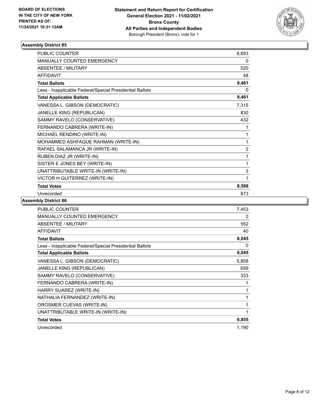

| <b>PUBLIC COUNTER</b>                                    | 8,893          |
|----------------------------------------------------------|----------------|
| MANUALLY COUNTED EMERGENCY                               | 0              |
| <b>ABSENTEE / MILITARY</b>                               | 520            |
| <b>AFFIDAVIT</b>                                         | 48             |
| <b>Total Ballots</b>                                     | 9,461          |
| Less - Inapplicable Federal/Special Presidential Ballots | 0              |
| <b>Total Applicable Ballots</b>                          | 9,461          |
| VANESSA L. GIBSON (DEMOCRATIC)                           | 7,315          |
| JANELLE KING (REPUBLICAN)                                | 830            |
| SAMMY RAVELO (CONSERVATIVE)                              | 432            |
| FERNANDO CABRERA (WRITE-IN)                              | 1              |
| MICHAEL RENDINO (WRITE-IN)                               | 1              |
| MOHAMMED ASHFAQUE RAHMAN (WRITE-IN)                      | 1              |
| RAFAEL SALAMANCA JR (WRITE-IN)                           | $\overline{2}$ |
| RUBEN DIAZ JR (WRITE-IN)                                 | 1              |
| SISTER E JONES BEY (WRITE-IN)                            | 1              |
| UNATTRIBUTABLE WRITE-IN (WRITE-IN)                       | 3              |
| VICTOR H GUITERREZ (WRITE-IN)                            | 1              |
| <b>Total Votes</b>                                       | 8,588          |
| Unrecorded                                               | 873            |

| <b>PUBLIC COUNTER</b>                                    | 7,453 |
|----------------------------------------------------------|-------|
| MANUALLY COUNTED EMERGENCY                               | 0     |
| <b>ABSENTEE / MILITARY</b>                               | 552   |
| <b>AFFIDAVIT</b>                                         | 40    |
| <b>Total Ballots</b>                                     | 8,045 |
| Less - Inapplicable Federal/Special Presidential Ballots | 0     |
| <b>Total Applicable Ballots</b>                          | 8,045 |
| VANESSA L. GIBSON (DEMOCRATIC)                           | 5,858 |
| JANELLE KING (REPUBLICAN)                                | 659   |
| SAMMY RAVELO (CONSERVATIVE)                              | 333   |
| FERNANDO CABRERA (WRITE-IN)                              | 1     |
| HARRY SUAREZ (WRITE-IN)                                  | 1     |
| NATHALIA FERNANDEZ (WRITE-IN)                            | 1     |
| OROSMER CUEVAS (WRITE-IN)                                | 1     |
| UNATTRIBUTABLE WRITE-IN (WRITE-IN)                       | 1     |
| <b>Total Votes</b>                                       | 6,855 |
| Unrecorded                                               | 1,190 |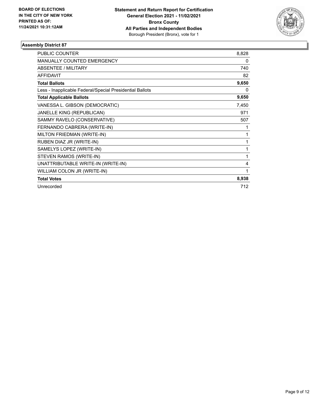

| <b>PUBLIC COUNTER</b>                                    | 8,828 |
|----------------------------------------------------------|-------|
| <b>MANUALLY COUNTED EMERGENCY</b>                        | 0     |
| <b>ABSENTEE / MILITARY</b>                               | 740   |
| <b>AFFIDAVIT</b>                                         | 82    |
| <b>Total Ballots</b>                                     | 9,650 |
| Less - Inapplicable Federal/Special Presidential Ballots | 0     |
| <b>Total Applicable Ballots</b>                          | 9,650 |
| VANESSA L. GIBSON (DEMOCRATIC)                           | 7,450 |
| JANELLE KING (REPUBLICAN)                                | 971   |
| SAMMY RAVELO (CONSERVATIVE)                              | 507   |
| FERNANDO CABRERA (WRITE-IN)                              | 1     |
| MILTON FRIEDMAN (WRITE-IN)                               | 1     |
| RUBEN DIAZ JR (WRITE-IN)                                 | 1     |
| SAMELYS LOPEZ (WRITE-IN)                                 | 1     |
| STEVEN RAMOS (WRITE-IN)                                  | 1     |
| UNATTRIBUTABLE WRITE-IN (WRITE-IN)                       | 4     |
| WILLIAM COLON JR (WRITE-IN)                              | 1     |
| <b>Total Votes</b>                                       | 8,938 |
| Unrecorded                                               | 712   |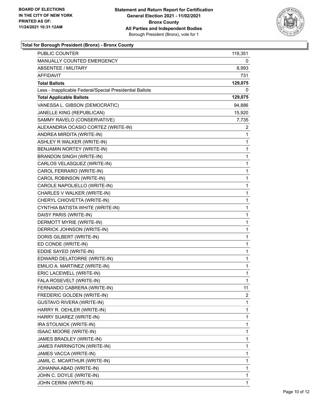

### **Total for Borough President (Bronx) - Bronx County**

| PUBLIC COUNTER                                           | 119,351      |
|----------------------------------------------------------|--------------|
| MANUALLY COUNTED EMERGENCY                               | 0            |
| <b>ABSENTEE / MILITARY</b>                               | 8,993        |
| AFFIDAVIT                                                | 731          |
| <b>Total Ballots</b>                                     | 129,075      |
| Less - Inapplicable Federal/Special Presidential Ballots | 0            |
| <b>Total Applicable Ballots</b>                          | 129,075      |
| VANESSA L. GIBSON (DEMOCRATIC)                           | 94,886       |
| JANELLE KING (REPUBLICAN)                                | 15,920       |
| SAMMY RAVELO (CONSERVATIVE)                              | 7,735        |
| ALEXANDRIA OCASIO CORTEZ (WRITE-IN)                      | 2            |
| ANDREA MIRDITA (WRITE-IN)                                | 1            |
| ASHLEY R WALKER (WRITE-IN)                               | 1            |
| BENJAMIN NORTEY (WRITE-IN)                               | 1            |
| <b>BRANDON SINGH (WRITE-IN)</b>                          | 1            |
| CARLOS VELASQUEZ (WRITE-IN)                              | 1            |
| CAROL FERRARO (WRITE-IN)                                 | 1            |
| CAROL ROBINSON (WRITE-IN)                                | 1            |
| CAROLE NAPOLIELLO (WRITE-IN)                             | 1            |
| CHARLES V WALKER (WRITE-IN)                              | 1            |
| CHERYL CHIOVETTA (WRITE-IN)                              | $\mathbf 1$  |
| CYNTHIA BATISTA WHITE (WRITE-IN)                         | 1            |
| DAISY PARIS (WRITE-IN)                                   | 1            |
| DERMOTT MYRIE (WRITE-IN)                                 | 1            |
| DERRICK JOHNSON (WRITE-IN)                               | 1            |
| DORIS GILBERT (WRITE-IN)                                 | 1            |
| ED CONDE (WRITE-IN)                                      | 1            |
| EDDIE SAYED (WRITE-IN)                                   | 1            |
| EDWARD DELATORRE (WRITE-IN)                              | 1            |
| EMILIO A. MARTINEZ (WRITE-IN)                            | 1            |
| ERIC LACEWELL (WRITE-IN)                                 | 1            |
| FALA ROSEVELT (WRITE-IN)                                 | $\mathbf{1}$ |
| FERNANDO CABRERA (WRITE-IN)                              | 11           |
| FREDERIC GOLDEN (WRITE-IN)                               | 2            |
| <b>GUSTAVO RIVERA (WRITE-IN)</b>                         | 1            |
| HARRY R. OEHLER (WRITE-IN)                               | 1            |
| HARRY SUAREZ (WRITE-IN)                                  | 1            |
| IRA STOLNICK (WRITE-IN)                                  | 1            |
| <b>ISAAC MOORE (WRITE-IN)</b>                            | 1            |
| JAMES BRADLEY (WRITE-IN)                                 | 1            |
| JAMES FARRINGTON (WRITE-IN)                              | 1            |
| JAMES VACCA (WRITE-IN)                                   | 1            |
| JAMIL C. MCARTHUR (WRITE-IN)                             | 1            |
| JOHANNA ABAD (WRITE-IN)                                  | 1            |
| JOHN C. DOYLE (WRITE-IN)                                 | 1            |
| JOHN CERINI (WRITE-IN)                                   | 1            |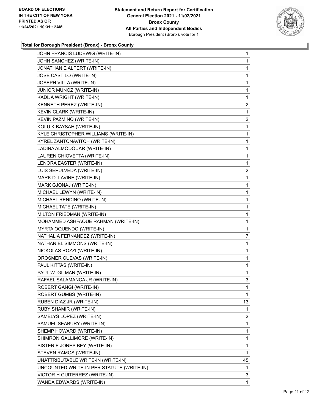

### **Total for Borough President (Bronx) - Bronx County**

| JOHN FRANCIS LUDEWIG (WRITE-IN)           | $\mathbf{1}$            |
|-------------------------------------------|-------------------------|
| JOHN SANCHEZ (WRITE-IN)                   | $\mathbf{1}$            |
| JONATHAN E ALPERT (WRITE-IN)              | 1                       |
| JOSE CASTILO (WRITE-IN)                   | $\mathbf 1$             |
| JOSEPH VILLA (WRITE-IN)                   | 1                       |
| JUNIOR MUNOZ (WRITE-IN)                   | 1                       |
| KADIJA WRIGHT (WRITE-IN)                  | 1                       |
| KENNETH PEREZ (WRITE-IN)                  | 2                       |
| <b>KEVIN CLARK (WRITE-IN)</b>             | 1                       |
| KEVIN PAZMINO (WRITE-IN)                  | $\overline{\mathbf{c}}$ |
| KOLU K BAYSAH (WRITE-IN)                  | 1                       |
| KYLE CHRISTOPHER WILLIAMS (WRITE-IN)      | 1                       |
| KYREL ZANTONAVITCH (WRITE-IN)             | 1                       |
| LADINA ALMODOUAR (WRITE-IN)               | $\mathbf{1}$            |
| LAUREN CHIOVETTA (WRITE-IN)               | 1                       |
| LENORA EASTER (WRITE-IN)                  | 1                       |
| LUIS SEPULVEDA (WRITE-IN)                 | 2                       |
| MARK D. LAVINE (WRITE-IN)                 | 1                       |
| MARK GJONAJ (WRITE-IN)                    | 1                       |
| MICHAEL LEWYN (WRITE-IN)                  | $\mathbf{1}$            |
| MICHAEL RENDINO (WRITE-IN)                | 1                       |
| MICHAEL TATE (WRITE-IN)                   | $\mathbf{1}$            |
| MILTON FRIEDMAN (WRITE-IN)                | $\mathbf{1}$            |
| MOHAMMED ASHFAQUE RAHMAN (WRITE-IN)       | 1                       |
| MYRTA OQUENDO (WRITE-IN)                  | 1                       |
| NATHALIA FERNANDEZ (WRITE-IN)             | 7                       |
| NATHANIEL SIMMONS (WRITE-IN)              | 1                       |
| NICKOLAS ROZZI (WRITE-IN)                 | $\mathbf{1}$            |
| OROSMER CUEVAS (WRITE-IN)                 | $\mathbf{1}$            |
| PAUL KITTAS (WRITE-IN)                    | 1                       |
| PAUL W. GILMAN (WRITE-IN)                 | 1                       |
| RAFAEL SALAMANCA JR (WRITE-IN)            | 3                       |
| ROBERT GANGI (WRITE-IN)                   | $\mathbf{1}$            |
| ROBERT GUMBS (WRITE-IN)                   | 1                       |
| RUBEN DIAZ JR (WRITE-IN)                  | 13                      |
| RUBY SHAMIR (WRITE-IN)                    | 1                       |
| SAMELYS LOPEZ (WRITE-IN)                  | 2                       |
| SAMUEL SEABURY (WRITE-IN)                 | 1                       |
| SHEMP HOWARD (WRITE-IN)                   | 1                       |
| SHIMRON GALLIMORE (WRITE-IN)              | 1                       |
| SISTER E JONES BEY (WRITE-IN)             | 1                       |
| STEVEN RAMOS (WRITE-IN)                   | 1                       |
| UNATTRIBUTABLE WRITE-IN (WRITE-IN)        | 45                      |
| UNCOUNTED WRITE-IN PER STATUTE (WRITE-IN) | 1                       |
| VICTOR H GUITERREZ (WRITE-IN)             | 3                       |
| WANDA EDWARDS (WRITE-IN)                  | 1                       |